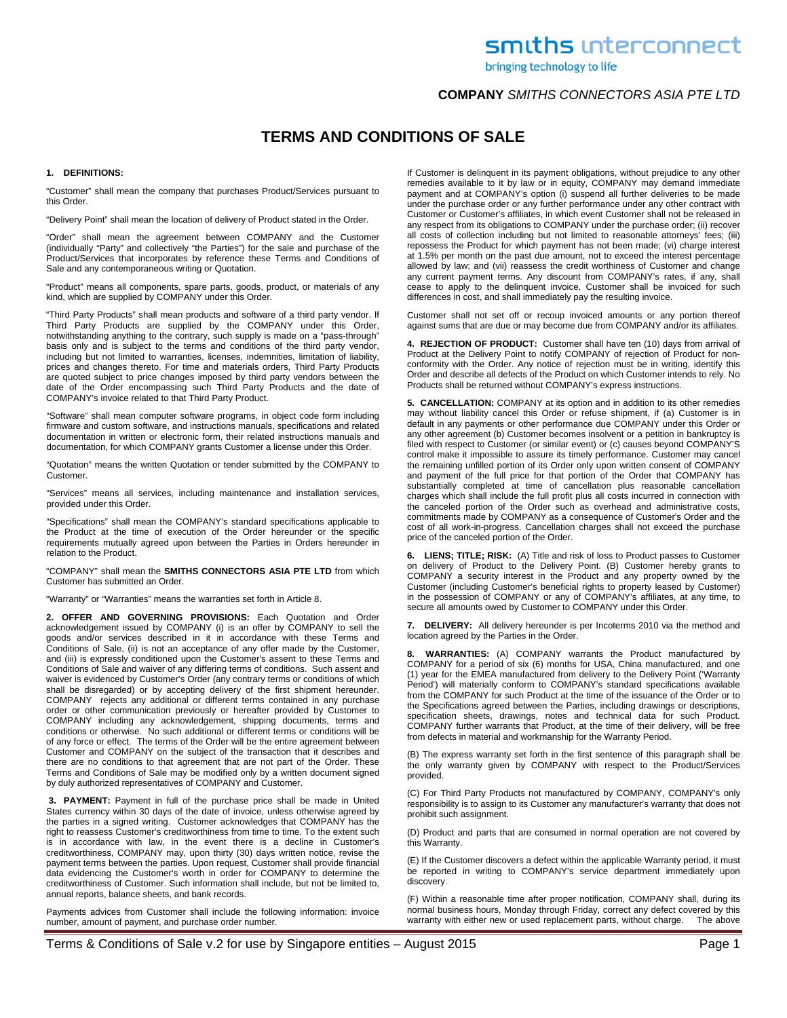bringing technology to life

## **COMPANY** *SMITHS CONNECTORS ASIA PTE LTD*

## **TERMS AND CONDITIONS OF SALE**

#### **1. DEFINITIONS:**

"Customer" shall mean the company that purchases Product/Services pursuant to this Order.

"Delivery Point" shall mean the location of delivery of Product stated in the Order.

"Order" shall mean the agreement between COMPANY and the Customer (individually "Party" and collectively "the Parties") for the sale and purchase of the Product/Services that incorporates by reference these Terms and Conditions of Sale and any contemporaneous writing or Quotation.

"Product" means all components, spare parts, goods, product, or materials of any kind, which are supplied by COMPANY under this Order.

"Third Party Products" shall mean products and software of a third party vendor. If Third Party Products are supplied by the COMPANY under this Order, notwithstanding anything to the contrary, such supply is made on a "pass-through" basis only and is subject to the terms and conditions of the third party vendor, including but not limited to warranties, licenses, indemnities, limitation of liability, prices and changes thereto. For time and materials orders, Third Party Products are quoted subject to price changes imposed by third party vendors between the date of the Order encompassing such Third Party Products and the date of COMPANY's invoice related to that Third Party Product.

"Software" shall mean computer software programs, in object code form including firmware and custom software, and instructions manuals, specifications and related documentation in written or electronic form, their related instructions manuals and documentation, for which COMPANY grants Customer a license under this Order.

"Quotation" means the written Quotation or tender submitted by the COMPANY to Customer.

"Services" means all services, including maintenance and installation services, provided under this Order.

"Specifications" shall mean the COMPANY's standard specifications applicable to the Product at the time of execution of the Order hereunder or the specific requirements mutually agreed upon between the Parties in Orders hereunder in relation to the Product.

"COMPANY" shall mean the **SMITHS CONNECTORS ASIA PTE LTD** from which Customer has submitted an Order.

"Warranty" or "Warranties" means the warranties set forth in Article 8.

**2. OFFER AND GOVERNING PROVISIONS:** Each Quotation and Order acknowledgement issued by COMPANY (i) is an offer by COMPANY to sell the goods and/or services described in it in accordance with these Terms and Conditions of Sale, (ii) is not an acceptance of any offer made by the Customer, and (iii) is expressly conditioned upon the Customer's assent to these Terms and Conditions of Sale and waiver of any differing terms of conditions. Such assent and waiver is evidenced by Customer's Order (any contrary terms or conditions of which shall be disregarded) or by accepting delivery of the first shipment hereunder. COMPANY rejects any additional or different terms contained in any purchase order or other communication previously or hereafter provided by Customer to COMPANY including any acknowledgement, shipping documents, terms and conditions or otherwise. No such additional or different terms or conditions will be of any force or effect. The terms of the Order will be the entire agreement between Customer and COMPANY on the subject of the transaction that it describes and there are no conditions to that agreement that are not part of the Order. These Terms and Conditions of Sale may be modified only by a written document signed by duly authorized representatives of COMPANY and Customer.

**3. PAYMENT:** Payment in full of the purchase price shall be made in United States currency within 30 days of the date of invoice, unless otherwise agreed by the parties in a signed writing. Customer acknowledges that COMPANY has the right to reassess Customer's creditworthiness from time to time. To the extent such is in accordance with law, in the event there is a decline in Customer's creditworthiness, COMPANY may, upon thirty (30) days written notice, revise the payment terms between the parties. Upon request, Customer shall provide financial data evidencing the Customer's worth in order for COMPANY to determine the creditworthiness of Customer. Such information shall include, but not be limited to, annual reports, balance sheets, and bank records.

Payments advices from Customer shall include the following information: invoice number, amount of payment, and purchase order number.

If Customer is delinquent in its payment obligations, without prejudice to any other remedies available to it by law or in equity, COMPANY may demand immediate payment and at COMPANY's option (i) suspend all further deliveries to be made under the purchase order or any further performance under any other contract with Customer or Customer's affiliates, in which event Customer shall not be released in any respect from its obligations to COMPANY under the purchase order; (ii) recover all costs of collection including but not limited to reasonable attorneys' fees; (iii) repossess the Product for which payment has not been made; (vi) charge interest at 1.5% per month on the past due amount, not to exceed the interest percentage allowed by law; and (vii) reassess the credit worthiness of Customer and change any current payment terms. Any discount from COMPANY's rates, if any, shall cease to apply to the delinquent invoice, Customer shall be invoiced for such differences in cost, and shall immediately pay the resulting invoice.

Customer shall not set off or recoup invoiced amounts or any portion thereof against sums that are due or may become due from COMPANY and/or its affiliates.

**4. REJECTION OF PRODUCT:** Customer shall have ten (10) days from arrival of Product at the Delivery Point to notify COMPANY of rejection of Product for nonconformity with the Order. Any notice of rejection must be in writing, identify this Order and describe all defects of the Product on which Customer intends to rely. No Products shall be returned without COMPANY's express instructions.

**5. CANCELLATION:** COMPANY at its option and in addition to its other remedies may without liability cancel this Order or refuse shipment, if (a) Customer is in default in any payments or other performance due COMPANY under this Order or any other agreement (b) Customer becomes insolvent or a petition in bankruptcy is filed with respect to Customer (or similar event) or (c) causes beyond COMPANY'S control make it impossible to assure its timely performance. Customer may cancel the remaining unfilled portion of its Order only upon written consent of COMPANY and payment of the full price for that portion of the Order that COMPANY has substantially completed at time of cancellation plus reasonable cancellation charges which shall include the full profit plus all costs incurred in connection with the canceled portion of the Order such as overhead and administrative costs, commitments made by COMPANY as a consequence of Customer's Order and the cost of all work-in-progress. Cancellation charges shall not exceed the purchase price of the canceled portion of the Order.

**6. LIENS; TITLE; RISK:** (A) Title and risk of loss to Product passes to Customer on delivery of Product to the Delivery Point. (B) Customer hereby grants to COMPANY a security interest in the Product and any property owned by the Customer (including Customer's beneficial rights to property leased by Customer) in the possession of COMPANY or any of COMPANY's affiliates, at any time, to secure all amounts owed by Customer to COMPANY under this Order.

**7. DELIVERY:** All delivery hereunder is per Incoterms 2010 via the method and location agreed by the Parties in the Order.

**8. WARRANTIES:** (A) COMPANY warrants the Product manufactured by COMPANY for a period of six (6) months for USA, China manufactured, and one (1) year for the EMEA manufactured from delivery to the Delivery Point ('Warranty Period') will materially conform to COMPANY's standard specifications available from the COMPANY for such Product at the time of the issuance of the Order or to the Specifications agreed between the Parties, including drawings or descriptions, specification sheets, drawings, notes and technical data for such Product. COMPANY further warrants that Product, at the time of their delivery, will be free from defects in material and workmanship for the Warranty Period.

(B) The express warranty set forth in the first sentence of this paragraph shall be the only warranty given by COMPANY with respect to the Product/Services provided.

(C) For Third Party Products not manufactured by COMPANY, COMPANY's only responsibility is to assign to its Customer any manufacturer's warranty that does not prohibit such assignment.

(D) Product and parts that are consumed in normal operation are not covered by this Warranty.

(E) If the Customer discovers a defect within the applicable Warranty period, it must be reported in writing to COMPANY's service department immediately upon discovery.

(F) Within a reasonable time after proper notification, COMPANY shall, during its normal business hours, Monday through Friday, correct any defect covered by this warranty with either new or used replacement parts, without charge. The above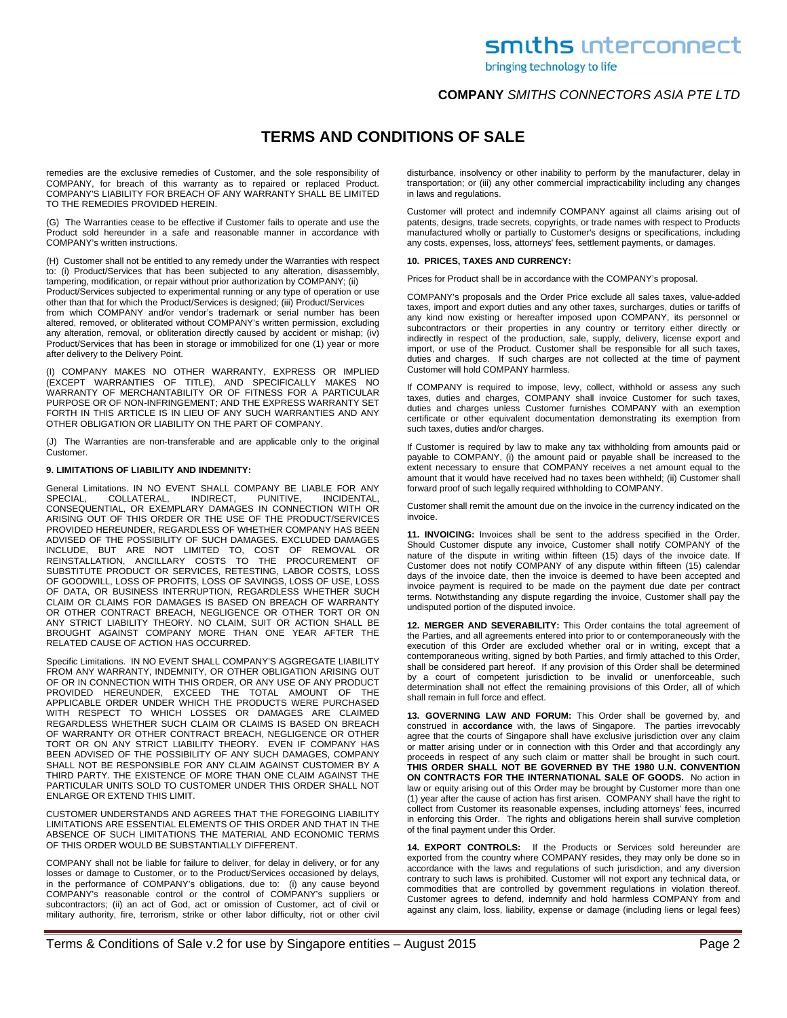bringing technology to life

## **COMPANY** *SMITHS CONNECTORS ASIA PTE LTD*

# **TERMS AND CONDITIONS OF SALE**

remedies are the exclusive remedies of Customer, and the sole responsibility of COMPANY, for breach of this warranty as to repaired or replaced Product. COMPANY'S LIABILITY FOR BREACH OF ANY WARRANTY SHALL BE LIMITED TO THE REMEDIES PROVIDED HEREIN.

(G) The Warranties cease to be effective if Customer fails to operate and use the Product sold hereunder in a safe and reasonable manner in accordance with COMPANY's written instructions.

(H) Customer shall not be entitled to any remedy under the Warranties with respect to: (i) Product/Services that has been subjected to any alteration, disassembly, tampering, modification, or repair without prior authorization by COMPANY; (ii)

Product/Services subjected to experimental running or any type of operation or use other than that for which the Product/Services is designed; (iii) Product/Services

from which COMPANY and/or vendor's trademark or serial number has been altered, removed, or obliterated without COMPANY's written permission, excluding any alteration, removal, or obliteration directly caused by accident or mishap; (iv) Product/Services that has been in storage or immobilized for one (1) year or more after delivery to the Delivery Point.

(I) COMPANY MAKES NO OTHER WARRANTY, EXPRESS OR IMPLIED (EXCEPT WARRANTIES OF TITLE), AND SPECIFICALLY MAKES NO WARRANTY OF MERCHANTABILITY OR OF FITNESS FOR A PARTICULAR PURPOSE OR OF NON-INFRINGEMENT; AND THE EXPRESS WARRANTY SET FORTH IN THIS ARTICLE IS IN LIEU OF ANY SUCH WARRANTIES AND ANY OTHER OBLIGATION OR LIABILITY ON THE PART OF COMPANY.

(J) The Warranties are non-transferable and are applicable only to the original Customer.

#### **9. LIMITATIONS OF LIABILITY AND INDEMNITY:**

General Limitations. IN NO EVENT SHALL COMPANY BE LIABLE FOR ANY<br>SPECIAL, COLLATERAL, INDIRECT, PUNITIVE, INCIDENTAL, SPECIAL, COLLATERAL, INDIRECT, PUNITIVE, INCIDENTAL, CONSEQUENTIAL, OR EXEMPLARY DAMAGES IN CONNECTION WITH OR ARISING OUT OF THIS ORDER OR THE USE OF THE PRODUCT/SERVICES PROVIDED HEREUNDER, REGARDLESS OF WHETHER COMPANY HAS BEEN ADVISED OF THE POSSIBILITY OF SUCH DAMAGES. EXCLUDED DAMAGES INCLUDE, BUT ARE NOT LIMITED TO, COST OF REMOVAL OR REINSTALLATION, ANCILLARY COSTS TO THE PROCUREMENT OF SUBSTITUTE PRODUCT OR SERVICES, RETESTING, LABOR COSTS, LOSS OF GOODWILL, LOSS OF PROFITS, LOSS OF SAVINGS, LOSS OF USE, LOSS OF DATA, OR BUSINESS INTERRUPTION, REGARDLESS WHETHER SUCH CLAIM OR CLAIMS FOR DAMAGES IS BASED ON BREACH OF WARRANTY OR OTHER CONTRACT BREACH, NEGLIGENCE OR OTHER TORT OR ON ANY STRICT LIABILITY THEORY. NO CLAIM, SUIT OR ACTION SHALL BE BROUGHT AGAINST COMPANY MORE THAN ONE YEAR AFTER THE RELATED CAUSE OF ACTION HAS OCCURRED.

Specific Limitations. IN NO EVENT SHALL COMPANY'S AGGREGATE LIABILITY FROM ANY WARRANTY, INDEMNITY, OR OTHER OBLIGATION ARISING OUT OF OR IN CONNECTION WITH THIS ORDER, OR ANY USE OF ANY PRODUCT PROVIDED HEREUNDER, EXCEED THE TOTAL AMOUNT OF THE APPLICABLE ORDER UNDER WHICH THE PRODUCTS WERE PURCHASED WITH RESPECT TO WHICH LOSSES OR DAMAGES ARE CLAIMED REGARDLESS WHETHER SUCH CLAIM OR CLAIMS IS BASED ON BREACH OF WARRANTY OR OTHER CONTRACT BREACH, NEGLIGENCE OR OTHER TORT OR ON ANY STRICT LIABILITY THEORY. EVEN IF COMPANY HAS BEEN ADVISED OF THE POSSIBILITY OF ANY SUCH DAMAGES, COMPANY SHALL NOT BE RESPONSIBLE FOR ANY CLAIM AGAINST CUSTOMER BY A THIRD PARTY. THE EXISTENCE OF MORE THAN ONE CLAIM AGAINST THE PARTICULAR UNITS SOLD TO CUSTOMER UNDER THIS ORDER SHALL NOT ENLARGE OR EXTEND THIS LIMIT.

CUSTOMER UNDERSTANDS AND AGREES THAT THE FOREGOING LIABILITY LIMITATIONS ARE ESSENTIAL ELEMENTS OF THIS ORDER AND THAT IN THE ABSENCE OF SUCH LIMITATIONS THE MATERIAL AND ECONOMIC TERMS OF THIS ORDER WOULD BE SUBSTANTIALLY DIFFERENT.

COMPANY shall not be liable for failure to deliver, for delay in delivery, or for any losses or damage to Customer, or to the Product/Services occasioned by delays, in the performance of COMPANY's obligations, due to: (i) any cause beyond COMPANY's reasonable control or the control of COMPANY's suppliers or subcontractors; (ii) an act of God, act or omission of Customer, act of civil or military authority, fire, terrorism, strike or other labor difficulty, riot or other civil

disturbance, insolvency or other inability to perform by the manufacturer, delay in transportation; or (iii) any other commercial impracticability including any changes in laws and regulations.

Customer will protect and indemnify COMPANY against all claims arising out of patents, designs, trade secrets, copyrights, or trade names with respect to Products manufactured wholly or partially to Customer's designs or specifications, including any costs, expenses, loss, attorneys' fees, settlement payments, or damages.

### **10. PRICES, TAXES AND CURRENCY:**

Prices for Product shall be in accordance with the COMPANY's proposal.

COMPANY's proposals and the Order Price exclude all sales taxes, value-added taxes, import and export duties and any other taxes, surcharges, duties or tariffs of any kind now existing or hereafter imposed upon COMPANY, its personnel or subcontractors or their properties in any country or territory either directly or indirectly in respect of the production, sale, supply, delivery, license export and import, or use of the Product. Customer shall be responsible for all such taxes, duties and charges. If such charges are not collected at the time of payment Customer will hold COMPANY harmless.

If COMPANY is required to impose, levy, collect, withhold or assess any such taxes, duties and charges, COMPANY shall invoice Customer for such taxes, duties and charges unless Customer furnishes COMPANY with an exemption certificate or other equivalent documentation demonstrating its exemption from such taxes, duties and/or charges.

If Customer is required by law to make any tax withholding from amounts paid or payable to COMPANY, (i) the amount paid or payable shall be increased to the extent necessary to ensure that COMPANY receives a net amount equal to the amount that it would have received had no taxes been withheld; (ii) Customer shall forward proof of such legally required withholding to COMPANY.

Customer shall remit the amount due on the invoice in the currency indicated on the invoice.

**11. INVOICING:** Invoices shall be sent to the address specified in the Order. Should Customer dispute any invoice, Customer shall notify COMPANY of the nature of the dispute in writing within fifteen (15) days of the invoice date. If Customer does not notify COMPANY of any dispute within fifteen (15) calendar days of the invoice date, then the invoice is deemed to have been accepted and invoice payment is required to be made on the payment due date per contract terms. Notwithstanding any dispute regarding the invoice, Customer shall pay the undisputed portion of the disputed invoice.

**12. MERGER AND SEVERABILITY:** This Order contains the total agreement of the Parties, and all agreements entered into prior to or contemporaneously with the execution of this Order are excluded whether oral or in writing, except that a contemporaneous writing, signed by both Parties, and firmly attached to this Order, shall be considered part hereof. If any provision of this Order shall be determined by a court of competent jurisdiction to be invalid or unenforceable, such determination shall not effect the remaining provisions of this Order, all of which shall remain in full force and effect.

**13. GOVERNING LAW AND FORUM:** This Order shall be governed by, and construed in **accordance** with, the laws of Singapore. The parties irrevocably agree that the courts of Singapore shall have exclusive jurisdiction over any claim or matter arising under or in connection with this Order and that accordingly any proceeds in respect of any such claim or matter shall be brought in such court. **THIS ORDER SHALL NOT BE GOVERNED BY THE 1980 U.N. CONVENTION ON CONTRACTS FOR THE INTERNATIONAL SALE OF GOODS.** No action in law or equity arising out of this Order may be brought by Customer more than one (1) year after the cause of action has first arisen. COMPANY shall have the right to collect from Customer its reasonable expenses, including attorneys' fees, incurred in enforcing this Order. The rights and obligations herein shall survive completion of the final payment under this Order.

**14. EXPORT CONTROLS:** If the Products or Services sold hereunder are exported from the country where COMPANY resides, they may only be done so in accordance with the laws and regulations of such jurisdiction, and any diversion contrary to such laws is prohibited. Customer will not export any technical data, or commodities that are controlled by government regulations in violation thereof. Customer agrees to defend, indemnify and hold harmless COMPANY from and against any claim, loss, liability, expense or damage (including liens or legal fees)